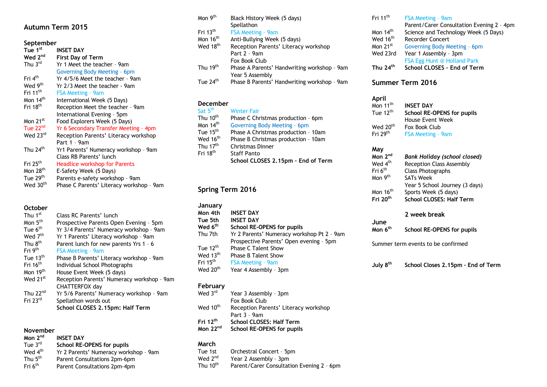# **Autumn Term 2015**

#### **September**

| <b>schreinnei</b>    |                                          |
|----------------------|------------------------------------------|
| Tue 1 <sup>st</sup>  | <b>INSET DAY</b>                         |
| Wed 2 <sup>nd</sup>  | <b>First Day of Term</b>                 |
| Thu 3rd              | Yr 1 Meet the teacher - 9am              |
|                      | Governing Body Meeting - 6pm             |
| Fri 4 <sup>th</sup>  | Yr 4/5/6 Meet the teacher - 9am          |
| Wed 9 <sup>th</sup>  | Yr 2/3 Meet the teacher - 9am            |
| Fri 11 <sup>th</sup> | <b>FSA Meeting - 9am</b>                 |
| Mon $14th$           | International Week (5 Days)              |
| Fri 18 <sup>th</sup> | Reception Meet the teacher - 9am         |
|                      | International Evening - 5pm              |
| Mon 21 <sup>st</sup> | Food Explorers Week (5 Days)             |
| Tue $22na$           | Yr 6 Secondary Transfer Meeting - 4pm    |
| Wed 23rd             | Reception Parents' Literacy workshop     |
|                      | Part 1 - 9am                             |
| Thu $24th$           | Yr1 Parents' Numeracy workshop - 9am     |
|                      | Class RB Parents' lunch                  |
| Fri 25 <sup>th</sup> | <b>Headlice workshop for Parents</b>     |
| Mon 28 <sup>th</sup> | E-Safety Week (5 Days)                   |
| Tue 29 <sup>th</sup> | Parents e-safety workshop - 9am          |
| Wed 30 <sup>th</sup> | Phase C Parents' Literacy workshop - 9am |

### **October**

| Thu 1st              | Class RC Parents' lunch                    |
|----------------------|--------------------------------------------|
| Mon 5 <sup>th</sup>  | Prospective Parents Open Evening - 5pm     |
| Tue 6 <sup>th</sup>  | Yr 3/4 Parents' Numeracy workshop - 9am    |
| Wed 7 <sup>th</sup>  | Yr 1 Parents' Literacy workshop - 9am      |
| Thu 8 <sup>th</sup>  | Parent lunch for new parents Yrs 1 - 6     |
| Fri 9 <sup>th</sup>  | <b>FSA Meeting - 9am</b>                   |
| Tue 13 <sup>th</sup> | Phase B Parents' Literacy workshop - 9am   |
| Fri 16 <sup>th</sup> | Individual School Photographs              |
| Mon 19th             | House Event Week (5 days)                  |
| Wed 21 <sup>st</sup> | Reception Parents' Numeracy workshop - 9am |
|                      | CHATTERFOX day                             |
| Thu $22nd$           | Yr 5/6 Parents' Numeracy workshop - 9am    |
| Fri 23rd             | Spellathon words out                       |
|                      | School CLOSES 2.15pm: Half Term            |

#### **November**

| Mon 2 <sup>nd</sup>   | <b>INSET DAY</b>                      |
|-----------------------|---------------------------------------|
| Tue 3 $rd$            | School RE-OPENS for pupils            |
| Wed 4 <sup>th</sup>   | Yr 2 Parents' Numeracy workshop - 9am |
| Thu $5^{\mathsf{th}}$ | Parent Consultations 2pm-6pm          |
| Fri 6 <sup>th</sup>   | Parent Consultations 2pm-4pm          |
|                       |                                       |

| Mon 9 <sup>th</sup>               | Black History Week (5 days)                 |
|-----------------------------------|---------------------------------------------|
|                                   | Spellathon                                  |
| $\mathsf{Fri}\; 13^{\mathsf{th}}$ | <b>FSA Meeting - 9am</b>                    |
| Mon 16 <sup>th</sup>              | Anti-Bullying Week (5 days)                 |
| Wed 18 <sup>th</sup>              | Reception Parents' Literacy workshop        |
|                                   | Part 2 - 9am                                |
|                                   | Fox Book Club                               |
| Thu 19 $^{\rm th}$                | Phase A Parents' Handwriting workshop - 9am |
|                                   | Year 5 Assembly                             |
| Tue 24 $^{\rm th}$                | Phase B Parents' Handwriting workshop - 9am |

#### **December**

| Sat 5 <sup>th</sup>  | <b>Winter Fair</b>                  |
|----------------------|-------------------------------------|
| Thu 10 <sup>th</sup> | Phase C Christmas production - 6pm  |
| Mon 14 <sup>th</sup> | Governing Body Meeting - 6pm        |
| Tue 15 <sup>th</sup> | Phase A Christmas production - 10am |
| Wed 16 <sup>th</sup> | Phase B Christmas production - 10am |
| Thu 17 <sup>th</sup> | <b>Christmas Dinner</b>             |
| Fri 18 <sup>th</sup> | <b>Staff Panto</b>                  |
|                      | School CLOSES 2.15pm - End of Term  |

# **Spring Term 2016**

| January              |                                            |
|----------------------|--------------------------------------------|
| Mon 4th              | <b>INSET DAY</b>                           |
| Tue 5th              | <b>INSET DAY</b>                           |
| Wed 6 <sup>th</sup>  | School RE-OPENS for pupils                 |
| Thu 7th              | Yr 2 Parents' Numeracy workshop Pt 2 - 9am |
|                      | Prospective Parents' Open evening - 5pm    |
| Tue $12th$           | <b>Phase C Talent Show</b>                 |
| Wed 13 <sup>th</sup> | <b>Phase B Talent Show</b>                 |
| Fri 15 <sup>th</sup> | <b>FSA Meeting - 9am</b>                   |
| Wed 20 <sup>th</sup> | Year 4 Assembly - 3pm                      |

# **February**

Wed 3<sup>rd</sup> Year 3 Assembly - 3pm Fox Book Club Wed 10<sup>th</sup> Reception Parents' Literacy workshop Part 3 – 9am **Fri 12 th School CLOSES: Half Term Mon 22 School RE-OPENS for pupils** 

## **March**

Tue 1st Orchestral Concert – 5pm Year 2 Assembly - 3pm

Wed 2<sup>nd</sup><br>Thu 10<sup>th</sup> Parent/Carer Consultation Evening 2 - 6pm

| Fri 11 <sup>th</sup> | FSA Meeting - 9am                         |
|----------------------|-------------------------------------------|
|                      | Parent/Carer Consultation Evening 2 - 4pm |
| Mon 14 <sup>th</sup> | Science and Technology Week (5 Days)      |
| Wed 16 <sup>th</sup> | <b>Recorder Concert</b>                   |
| Mon 21 <sup>st</sup> | Governing Body Meeting - 6pm              |
| Wed 23rd             | Year 1 Assembly - 3pm                     |
|                      | FSA Egg Hunt @ Holland Park               |
| Thu 24 <sup>th</sup> | School CLOSES - End of Term               |
|                      |                                           |

# **Summer Term 2016**

#### **April**

| Mon 11 <sup>th</sup> | <b>INSET DAY</b>           |
|----------------------|----------------------------|
| Tue 12 <sup>th</sup> | School RE-OPENS for pupils |
|                      | House Event Week           |
| Wed 20 <sup>th</sup> | Fox Book Club              |
| Fri 29 <sup>th</sup> | FSA Meeting - 9am          |

## **May**

| Mon 2 <sup>nd</sup>  | <b>Bank Holiday (school closed)</b> |
|----------------------|-------------------------------------|
| Wed 4 <sup>th</sup>  | Reception Class Assembly            |
| Fri 6 <sup>th</sup>  | <b>Class Photographs</b>            |
| Mon 9 <sup>th</sup>  | <b>SATs Week</b>                    |
|                      | Year 5 School Journey (3 days)      |
| Mon 16 <sup>th</sup> | Sports Week (5 days)                |
| Fri 20 <sup>th</sup> | <b>School CLOSES: Half Term</b>     |

### **2 week break**

| June                |                            |
|---------------------|----------------------------|
| Mon 6 <sup>th</sup> | School RE-OPENS for pupils |

Summer term events to be confirmed

**July 8 th School Closes 2.15pm – End of Term**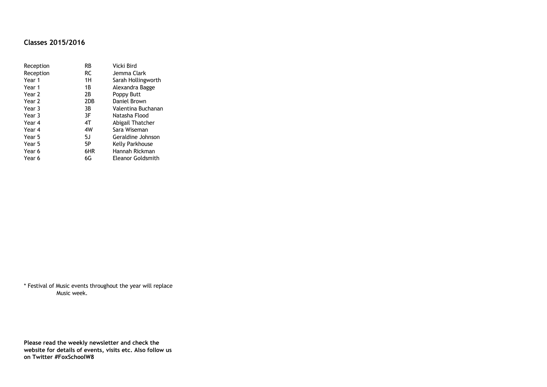# **Classes 2015/2016**

| Reception | RB        | Vicki Bird         |
|-----------|-----------|--------------------|
| Reception | <b>RC</b> | Jemma Clark        |
| Year 1    | 1H        | Sarah Hollingworth |
| Year 1    | 1B        | Alexandra Bagge    |
| Year 2    | 2В        | Poppy Butt         |
| Year 2    | 2DB       | Daniel Brown       |
| Year 3    | 3B        | Valentina Buchanan |
| Year 3    | 3F        | Natasha Flood      |
| Year 4    | 4T        | Abigail Thatcher   |
| Year 4    | 4W        | Sara Wiseman       |
| Year 5    | 5J        | Geraldine Johnson  |
| Year 5    | 5P        | Kelly Parkhouse    |
| Year 6    | 6HR       | Hannah Rickman     |
| Year 6    | 6G        | Eleanor Goldsmith  |

\* Festival of Music events throughout the year will replace Music week.

**Please read the weekly newsletter and check the website for details of events, visits etc. Also follow us on Twitter #FoxSchoolW8**